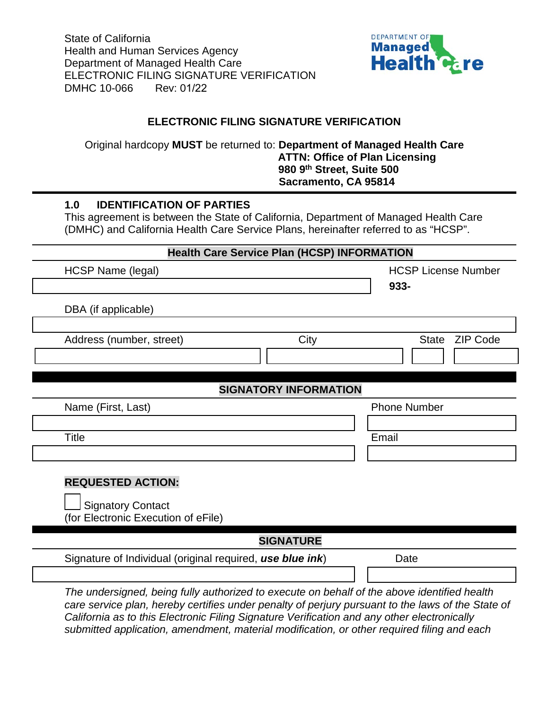State of California Health and Human Services Agency Department of Managed Health Care ELECTRONIC FILING SIGNATURE VERIFICATION DMHC 10-066 Rev: 01/22



## **ELECTRONIC FILING SIGNATURE VERIFICATION**

Original hardcopy **MUST** be returned to: **Department of Managed Health Care ATTN: Office of Plan Licensing 980 9th Street, Suite 500 Sacramento, CA 95814**

## **1.0 IDENTIFICATION OF PARTIES**

This agreement is between the State of California, Department of Managed Health Care (DMHC) and California Health Care Service Plans, hereinafter referred to as "HCSP".

## **Health Care Service Plan (HCSP) INFORMATION**

| HCSP Name (legal)                                                                           |                  | <b>HCSP License Number</b>      |
|---------------------------------------------------------------------------------------------|------------------|---------------------------------|
|                                                                                             |                  | 933-                            |
| DBA (if applicable)                                                                         |                  |                                 |
| Address (number, street)                                                                    | City             | <b>ZIP Code</b><br><b>State</b> |
| <b>SIGNATORY INFORMATION</b>                                                                |                  |                                 |
| Name (First, Last)                                                                          |                  | <b>Phone Number</b>             |
|                                                                                             |                  |                                 |
| <b>Title</b>                                                                                |                  | Email                           |
|                                                                                             |                  |                                 |
| <b>REQUESTED ACTION:</b><br><b>Signatory Contact</b><br>(for Electronic Execution of eFile) |                  |                                 |
|                                                                                             | <b>SIGNATURE</b> |                                 |
| Signature of Individual (original required, use blue ink)                                   |                  | Date                            |
|                                                                                             |                  |                                 |
| The undersigned, being fully authorized to execute on behalf of the above identified health |                  |                                 |

*care service plan, hereby certifies under penalty of perjury pursuant to the laws of the State of California as to this Electronic Filing Signature Verification and any other electronically submitted application, amendment, material modification, or other required filing and each*